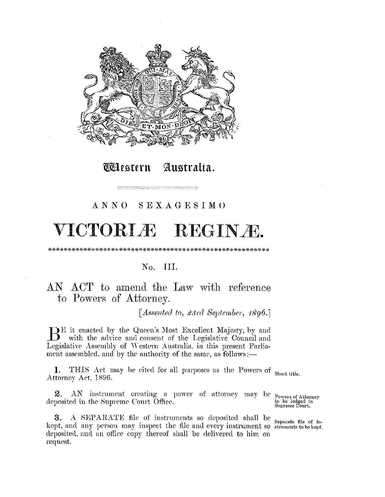

*Clestern* Australia.

### ANNO SEXAGESIMO

# VICTORLÆ REGINÆ.

### No. III.

## AN ACT to amend the Law with reference to Powers of Attorney.

[Assented to, 23rd September, 1896.]

 $\bigoplus$  E it enacted by the Queen's Most Excellent Majesty, by and with the advice and consent of the Legislative Council and Legislative Assembly of Western Australia, in this present Parliament assembled, and by the authority of the same, as follows :-

1. THIS Act may be cited for all purposes as the Powers of Short title. Attorney Act, 1896.

2. AN instrument creating a power of attorney may be powers of Attorney<br>2. AN instrument creating a power of attorney may be powers of Attorney<br>5 to be lodged in<br>Supreme Court. deposited in the Supreme Court Office.

A SEPARATE file of instruments so deposited shall be separate file of in-3. kept, and any person may inspect the file and every instrument so struments to be kept. deposited, and an office copy thereof shall be delivered to him on request.